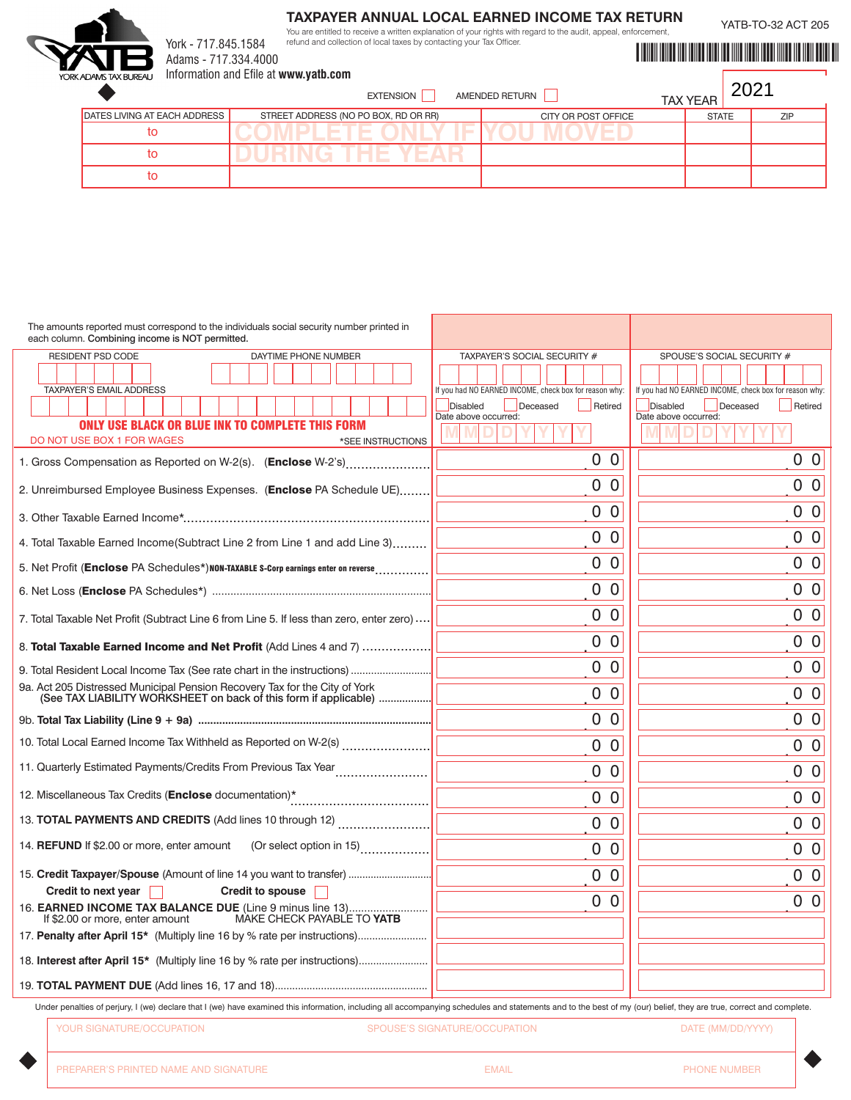## **TAXPAYER ANNUAL LOCAL EARNED INCOME TAX RETURN**

You are entitled to receive a written explanation of your rights with regard to the audit, appeal, enforcement, refund and collection of local taxes by contacting your Tax Officer.

YATB-TO-32 ACT 205



Adams - 717.334.4000 Information and Efile at **www.yatb.com**

York - 717.845.1584

YATBI YATA MARKA WA MARKA WA 1999 YA 2009 YA M

| KADAMSTAX BUREAU<br><b>INTOITILATION AND ENTE AT WWW.YAID.COM</b><br>AMENDED RETURN<br><b>EXTENSION</b><br><b>TAX YEAR</b> |                                          |                     |              |     |
|----------------------------------------------------------------------------------------------------------------------------|------------------------------------------|---------------------|--------------|-----|
| DATES LIVING AT EACH ADDRESS                                                                                               | STREET ADDRESS (NO PO BOX, RD OR RR)     | CITY OR POST OFFICE | <b>STATE</b> | ZIP |
| ιο                                                                                                                         | <b>The Company's Company's Company's</b> |                     |              |     |
| το                                                                                                                         | and the c<br>$\mathbf{V} = \mathbf{A}$   |                     |              |     |
| Ю                                                                                                                          |                                          |                     |              |     |

| The amounts reported must correspond to the individuals social security number printed in<br>each column. Combining income is NOT permitted.                                                                        |                                                        |                                                        |
|---------------------------------------------------------------------------------------------------------------------------------------------------------------------------------------------------------------------|--------------------------------------------------------|--------------------------------------------------------|
| RESIDENT PSD CODE<br>DAYTIME PHONE NUMBER                                                                                                                                                                           | TAXPAYER'S SOCIAL SECURITY #                           | SPOUSE'S SOCIAL SECURITY #                             |
| <b>TAXPAYER'S EMAIL ADDRESS</b>                                                                                                                                                                                     | If you had NO EARNED INCOME, check box for reason why: | If you had NO EARNED INCOME, check box for reason why: |
|                                                                                                                                                                                                                     | Disabled<br>Deceased<br>Retired                        | Disabled<br>Deceased<br>Retired                        |
| <b>ONLY USE BLACK OR BLUE INK TO COMPLETE THIS FORM</b><br>DO NOT USE BOX 1 FOR WAGES<br>*SEE INSTRUCTIONS                                                                                                          | Date above occurred:                                   | Date above occurred:                                   |
| 1. Gross Compensation as Reported on W-2(s). (Enclose W-2's)                                                                                                                                                        | 0 <sub>0</sub>                                         | 0 <sub>0</sub>                                         |
| 2. Unreimbursed Employee Business Expenses. (Enclose PA Schedule UE)                                                                                                                                                | 0 <sub>0</sub>                                         | 0 <sub>0</sub>                                         |
|                                                                                                                                                                                                                     | 0 <sub>0</sub>                                         | 0 <sub>0</sub>                                         |
| 4. Total Taxable Earned Income(Subtract Line 2 from Line 1 and add Line 3)                                                                                                                                          | 0 <sub>0</sub>                                         | 0 <sub>0</sub>                                         |
| 5. Net Profit (Enclose PA Schedules*) NON-TAXABLE S-Corp earnings enter on reverse                                                                                                                                  | 0 <sub>0</sub>                                         | 0 <sub>0</sub>                                         |
|                                                                                                                                                                                                                     | 0 <sub>0</sub>                                         | 0 <sub>0</sub>                                         |
| 7. Total Taxable Net Profit (Subtract Line 6 from Line 5. If less than zero, enter zero)                                                                                                                            | 0 <sub>0</sub>                                         | 0 <sub>0</sub>                                         |
| 8. Total Taxable Earned Income and Net Profit (Add Lines 4 and 7)                                                                                                                                                   | 0 <sub>0</sub>                                         | 0 <sub>0</sub>                                         |
| 9. Total Resident Local Income Tax (See rate chart in the instructions)                                                                                                                                             | 0 <sub>0</sub>                                         | 0 <sub>0</sub>                                         |
| 9a. Act 205 Distressed Municipal Pension Recovery Tax for the City of York<br>(See TAX LIABILITY WORKSHEET on back of this form if applicable)                                                                      | 0 <sub>0</sub>                                         | 0 <sub>0</sub>                                         |
|                                                                                                                                                                                                                     | 0 <sub>0</sub>                                         | 0 <sub>0</sub>                                         |
| 10. Total Local Earned Income Tax Withheld as Reported on W-2(s)                                                                                                                                                    | 0 <sub>0</sub>                                         | 0 <sub>0</sub>                                         |
|                                                                                                                                                                                                                     | 0 <sub>0</sub>                                         | 0 <sub>0</sub>                                         |
| 12. Miscellaneous Tax Credits (Enclose documentation)*                                                                                                                                                              | 0 <sub>0</sub>                                         | 0 <sub>0</sub>                                         |
|                                                                                                                                                                                                                     | 0 <sub>0</sub>                                         | 0 <sub>0</sub>                                         |
| 14. REFUND If \$2.00 or more, enter amount (Or select option in 15)                                                                                                                                                 | 0 <sub>0</sub>                                         | 0 <sub>0</sub>                                         |
| 15. Credit Taxpayer/Spouse (Amount of line 14 you want to transfer)                                                                                                                                                 | 0 <sub>0</sub>                                         | 0 <sub>0</sub>                                         |
| Credit to next year $\Box$<br><b>Credit to spouse</b>                                                                                                                                                               |                                                        |                                                        |
| 16. EARNED INCOME TAX BALANCE DUE (Line 9 minus line 13)  <br>If \$2.00 or more, enter amount<br>MAKE CHECK PAYABLE TO YATB                                                                                         | 0 <sub>0</sub>                                         | 0 <sub>0</sub>                                         |
|                                                                                                                                                                                                                     |                                                        |                                                        |
| 18. Interest after April 15* (Multiply line 16 by % rate per instructions)                                                                                                                                          |                                                        |                                                        |
|                                                                                                                                                                                                                     |                                                        |                                                        |
| Under penalties of perjury, I (we) declare that I (we) have examined this information, including all accompanying schedules and statements and to the best of my (our) belief, they are true, correct and complete. |                                                        |                                                        |